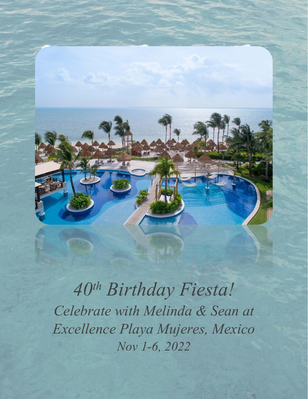

*40th Birthday Fiesta! Celebrate with Melinda & Sean at Excellence Playa Mujeres, Mexico Nov 1-6, 2022*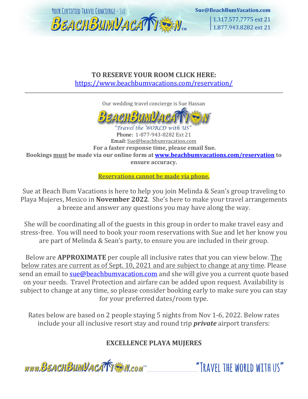

1.317.577.7775 ext 21 1.877.943.8282 ext 21

#### **TO RESERVE YOUR ROOM CLICK HERE:** <https://www.beachbumvacations.com/reservation/>

\_\_\_\_\_\_\_\_\_\_\_\_\_\_\_\_\_\_\_\_\_\_\_\_\_\_\_\_\_\_\_\_\_\_\_\_\_\_\_\_\_\_\_\_\_\_\_\_\_\_\_\_\_\_\_\_\_\_\_\_\_\_\_\_\_\_\_\_\_\_\_\_\_\_\_\_\_\_\_\_\_\_\_\_\_\_\_\_\_\_\_\_\_\_\_\_\_\_\_\_\_\_\_\_\_\_\_\_\_\_\_\_\_\_\_\_\_\_\_\_\_\_\_\_\_\_

Our wedding travel concierge is Sue Hassan



Travel the WORLD with US Phone: 1-877-943-8282 Ext 21 Email: Sue@beachbumvacation.com **For a faster response time, please email Sue. Bookings must be made via our online form at [www.beachbumvacations.com/reservation](http://www.beachbumvacations.com/reservation) to ensure accuracy.** 

**Reservations cannot be made via phone.**

Sue at Beach Bum Vacations is here to help you join Melinda & Sean's group traveling to Playa Mujeres, Mexico in **November 2022**. She's here to make your travel arrangements a breeze and answer any questions you may have along the way.

She will be coordinating all of the guests in this group in order to make travel easy and stress-free. You will need to book your room reservations with Sue and let her know you are part of Melinda & Sean's party, to ensure you are included in their group.

Below are **APPROXIMATE** per couple all inclusive rates that you can view below. The below rates are current as of Sept. 10, 2021 and are subject to change at any time. Please send an email to [sue@beachbumvacation.com](mailto:sue@beachbumvacation.com) and she will give you a current quote based on your needs. Travel Protection and airfare can be added upon request. Availability is subject to change at any time, so please consider booking early to make sure you can stay for your preferred dates/room type.

Rates below are based on 2 people staying 5 nights from Nov 1-6, 2022. Below rates include your all inclusive resort stay and round trip *private* airport transfers:

# **EXCELLENCE PLAYA MUJERES**

www.BEACHBUMVACATTEN.com

"TRAVEL THE WORLD WITH US"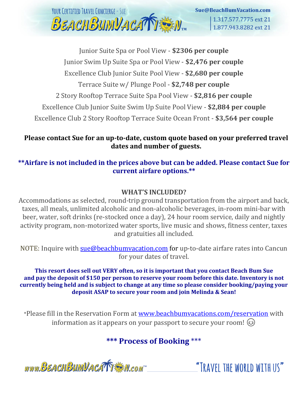

Junior Suite Spa or Pool View - **\$2306 per couple** Junior Swim Up Suite Spa or Pool View - **\$2,476 per couple** Excellence Club Junior Suite Pool View - **\$2,680 per couple** Terrace Suite w/ Plunge Pool - **\$2,748 per couple** 2 Story Rooftop Terrace Suite Spa Pool View - **\$2,816 per couple** Excellence Club Junior Suite Swim Up Suite Pool View - **\$2,884 per couple** Excellence Club 2 Story Rooftop Terrace Suite Ocean Front - **\$3,564 per couple**

#### **Please contact Sue for an up-to-date, custom quote based on your preferred travel dates and number of guests.**

### **\*\*Airfare is not included in the prices above but can be added. Please contact Sue for current airfare options.\*\***

### **WHAT'S INCLUDED?**

Accommodations as selected, round-trip ground transportation from the airport and back, taxes, all meals, unlimited alcoholic and non-alcoholic beverages, in-room mini-bar with beer, water, soft drinks (re-stocked once a day), 24 hour room service, daily and nightly activity program, non-motorized water sports, live music and shows, fitness center, taxes and gratuities all included.

NOTE: Inquire with [sue@beachbumvacation.com](mailto:sue@beachbumvacation.com) for up-to-date airfare rates into Cancun for your dates of travel.

**This resort does sell out VERY often, so it is important that you contact Beach Bum Sue and pay the deposit of \$150 per person to reserve your room before this date. Inventory is not currently being held and is subject to change at any time so please consider booking/paying your deposit ASAP to secure your room and join Melinda & Sean!**

\*Please fill in the Reservation Form at [www.beachbumvacations.com/reservation](http://www.beachbumvacations.com/reservation) with information as it appears on your passport to secure your room!  $\odot$ 

# **\*\*\* Process of Booking** \*\*\*



"TRAVFI THE WORLD WITH US"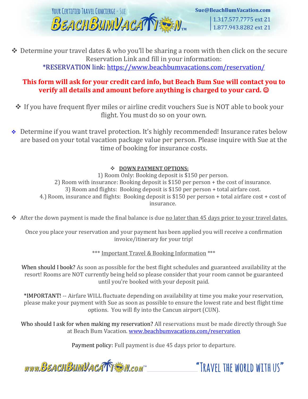

Sue@BeachBumVacation.com 1.317.577.7775 ext 21 1.877.943.8282 ext 21

❖ Determine your travel dates & who you'll be sharing a room with then click on the secure Reservation Link and fill in your information:

\*RESERVATION link:<https://www.beachbumvacations.com/reservation/>

#### **This form will ask for your credit card info, but Beach Bum Sue will contact you to verify all details and amount before anything is charged to your card.**  $\odot$

- ❖ If you have frequent flyer miles or airline credit vouchers Sue is NOT able to book your flight. You must do so on your own.
- ❖ Determine if you want travel protection. It's highly recommended! Insurance rates below are based on your total vacation package value per person. Please inquire with Sue at the time of booking for insurance costs.

#### ❖ **DOWN PAYMENT OPTIONS:**

1) Room Only: Booking deposit is \$150 per person. 2) Room with insurance: Booking deposit is \$150 per person + the cost of insurance. 3) Room and flights: Booking deposit is \$150 per person + total airfare cost. 4.) Room, insurance and flights: Booking deposit is \$150 per person + total airfare cost + cost of insurance.

❖ After the down payment is made the final balance is due no later than 45 days prior to your travel dates.

Once you place your reservation and your payment has been applied you will receive a confirmation invoice/itinerary for your trip!

\*\*\* Important Travel & Booking Information \*\*\*

When should I book? As soon as possible for the best flight schedules and guaranteed availability at the resort! Rooms are NOT currently being held so please consider that your room cannot be guaranteed until you're booked with your deposit paid.

\*IMPORTANT! -- Airfare WILL fluctuate depending on availability at time you make your reservation, please make your payment with Sue as soon as possible to ensure the lowest rate and best flight time options. You will fly into the Cancun airport (CUN).

Who should I ask for when making my reservation? All reservations must be made directly through Sue at Beach Bum Vacation. [www.beachbumvacations.com/reservation](http://www.beachbumvacations.com/reservation)

Payment policy: Full payment is due 45 days prior to departure.



"TRAVFI THE WORLD WITH US"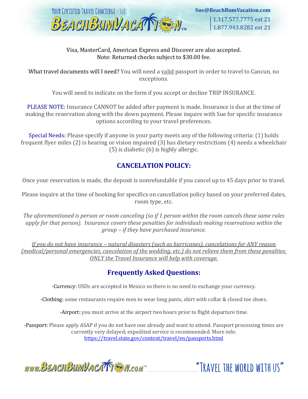

#### Visa, MasterCard, American Express and Discover are also accepted. Note: Returned checks subject to \$30.00 fee.

What travel documents will I need? You will need a valid passport in order to travel to Cancun, no exceptions.

You will need to indicate on the form if you accept or decline TRIP INSURANCE.

PLEASE NOTE: Insurance CANNOT be added after payment is made. Insurance is due at the time of making the reservation along with the down payment. Please inquire with Sue for specific insurance options according to your travel preferences.

Special Needs: Please specify if anyone in your party meets any of the following criteria: (1) holds frequent flyer miles (2) is hearing or vision impaired (3) has dietary restrictions (4) needs a wheelchair (5) is diabetic (6) is highly allergic.

#### **CANCELATION POLICY:**

Once your reservation is made, the deposit is nonrefundable if you cancel up to 45 days prior to travel.

Please inquire at the time of booking for specifics on cancellation policy based on your preferred dates, room type, etc.

*The aforementioned is person or room canceling (so if 1 person within the room cancels these same rules apply for that person). Insurance covers these penalties for individuals making reservations within the group – if they have purchased insurance.* 

*If you do not have insurance – natural disasters (such as hurricanes), cancelations for ANY reason (medical/personal emergencies, cancelation of the wedding, etc.) do not relieve them from these penalties. ONLY the Travel Insurance will help with coverage.*

## **Frequently Asked Questions:**

-Currency: USDs are accepted in Mexico so there is no need to exchange your currency.

-Clothing: some restaurants require men to wear long pants, shirt with collar & closed toe shoes.

-Airport: you must arrive at the airport two hours prior to flight departure time.

-Passport: Please apply ASAP if you do not have one already and want to attend. Passport processing times are currently very delayed; expedited service is recommended. More info: <https://travel.state.gov/content/travel/en/passports.html>

www.BEACHBUMVACATTEM.com